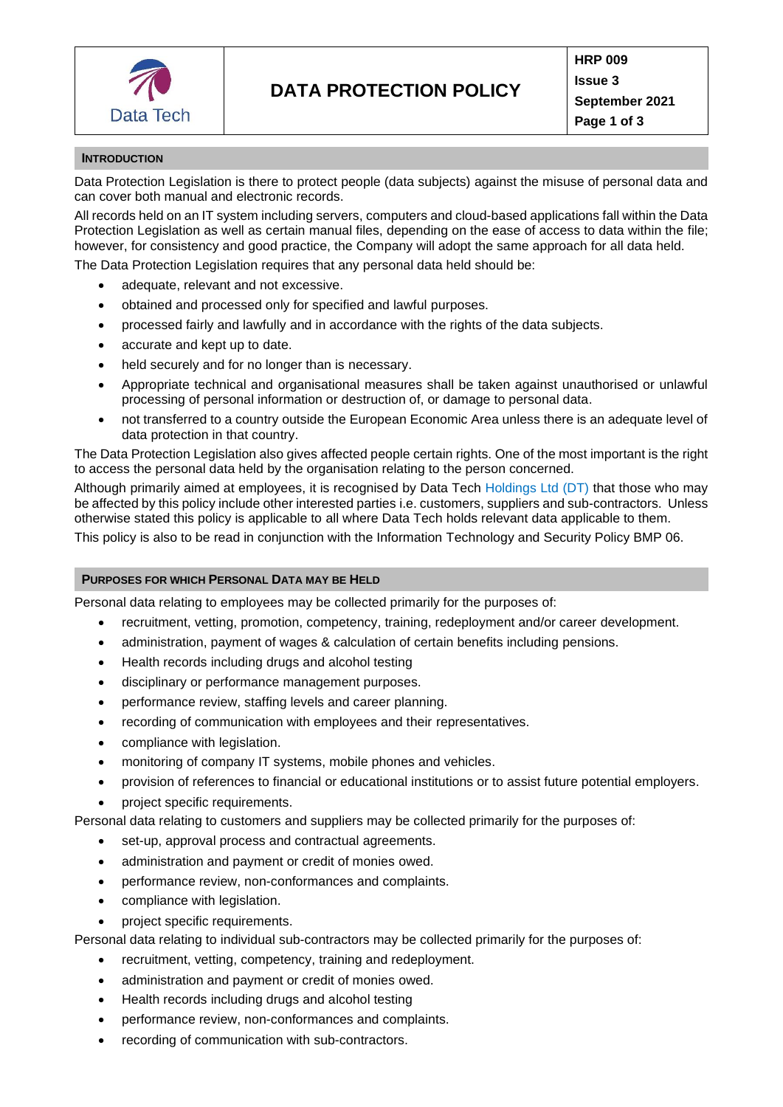

# **INTRODUCTION**

Data Protection Legislation is there to protect people (data subjects) against the misuse of personal data and can cover both manual and electronic records.

All records held on an IT system including servers, computers and cloud-based applications fall within the Data Protection Legislation as well as certain manual files, depending on the ease of access to data within the file; however, for consistency and good practice, the Company will adopt the same approach for all data held.

The Data Protection Legislation requires that any personal data held should be:

- adequate, relevant and not excessive.
- obtained and processed only for specified and lawful purposes.
- processed fairly and lawfully and in accordance with the rights of the data subjects.
- accurate and kept up to date.
- held securely and for no longer than is necessary.
- Appropriate technical and organisational measures shall be taken against unauthorised or unlawful processing of personal information or destruction of, or damage to personal data.
- not transferred to a country outside the European Economic Area unless there is an adequate level of data protection in that country.

The Data Protection Legislation also gives affected people certain rights. One of the most important is the right to access the personal data held by the organisation relating to the person concerned.

Although primarily aimed at employees, it is recognised by Data Tech Holdings Ltd (DT) that those who may be affected by this policy include other interested parties i.e. customers, suppliers and sub-contractors. Unless otherwise stated this policy is applicable to all where Data Tech holds relevant data applicable to them.

This policy is also to be read in conjunction with the Information Technology and Security Policy BMP 06.

## **PURPOSES FOR WHICH PERSONAL DATA MAY BE HELD**

Personal data relating to employees may be collected primarily for the purposes of:

- recruitment, vetting, promotion, competency, training, redeployment and/or career development.
- administration, payment of wages & calculation of certain benefits including pensions.
- Health records including drugs and alcohol testing
- disciplinary or performance management purposes.
- performance review, staffing levels and career planning.
- recording of communication with employees and their representatives.
- compliance with legislation.
- monitoring of company IT systems, mobile phones and vehicles.
- provision of references to financial or educational institutions or to assist future potential employers.
- project specific requirements.

Personal data relating to customers and suppliers may be collected primarily for the purposes of:

- set-up, approval process and contractual agreements.
- administration and payment or credit of monies owed.
- performance review, non-conformances and complaints.
- compliance with legislation.
- project specific requirements.

Personal data relating to individual sub-contractors may be collected primarily for the purposes of:

- recruitment, vetting, competency, training and redeployment.
- administration and payment or credit of monies owed.
- Health records including drugs and alcohol testing
- performance review, non-conformances and complaints.
- recording of communication with sub-contractors.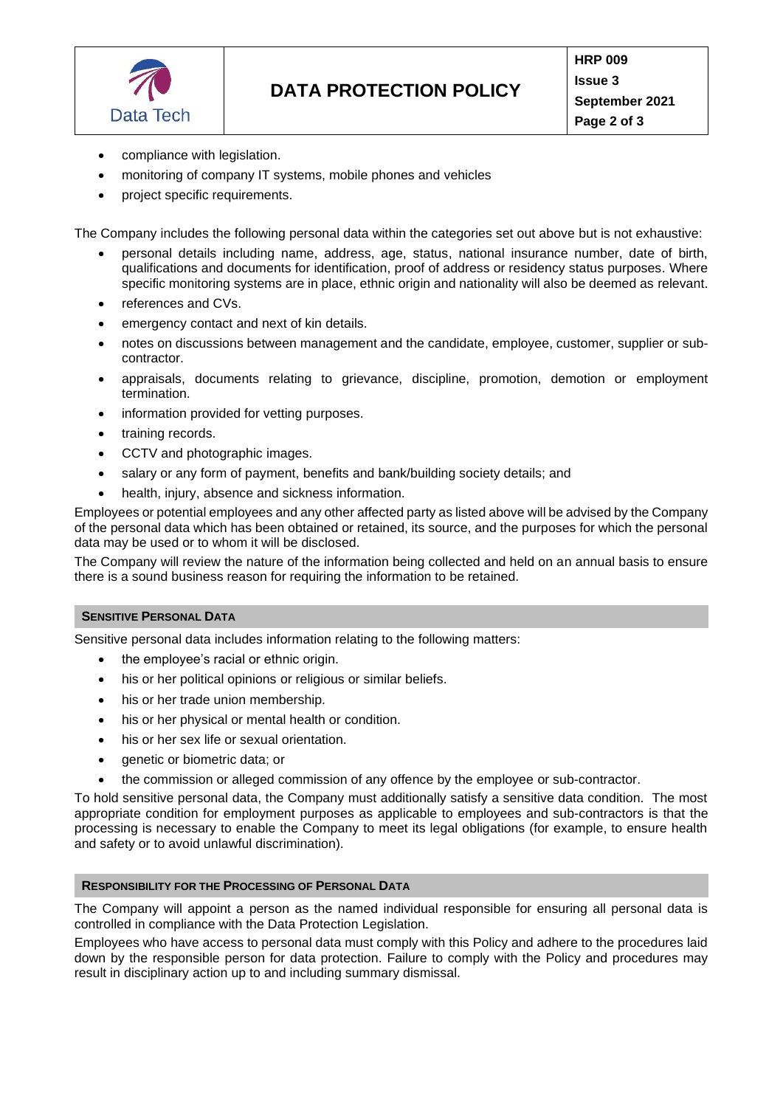

- compliance with legislation.
- monitoring of company IT systems, mobile phones and vehicles
- project specific requirements.

The Company includes the following personal data within the categories set out above but is not exhaustive:

- personal details including name, address, age, status, national insurance number, date of birth, qualifications and documents for identification, proof of address or residency status purposes. Where specific monitoring systems are in place, ethnic origin and nationality will also be deemed as relevant.
- references and CVs.
- emergency contact and next of kin details.
- notes on discussions between management and the candidate, employee, customer, supplier or subcontractor.
- appraisals, documents relating to grievance, discipline, promotion, demotion or employment termination.
- information provided for vetting purposes.
- training records.
- CCTV and photographic images.
- salary or any form of payment, benefits and bank/building society details; and
- health, injury, absence and sickness information.

Employees or potential employees and any other affected party as listed above will be advised by the Company of the personal data which has been obtained or retained, its source, and the purposes for which the personal data may be used or to whom it will be disclosed.

The Company will review the nature of the information being collected and held on an annual basis to ensure there is a sound business reason for requiring the information to be retained.

# **SENSITIVE PERSONAL DATA**

Sensitive personal data includes information relating to the following matters:

- the employee's racial or ethnic origin.
- his or her political opinions or religious or similar beliefs.
- his or her trade union membership.
- his or her physical or mental health or condition.
- his or her sex life or sexual orientation.
- genetic or biometric data; or
- the commission or alleged commission of any offence by the employee or sub-contractor.

To hold sensitive personal data, the Company must additionally satisfy a sensitive data condition. The most appropriate condition for employment purposes as applicable to employees and sub-contractors is that the processing is necessary to enable the Company to meet its legal obligations (for example, to ensure health and safety or to avoid unlawful discrimination).

## **RESPONSIBILITY FOR THE PROCESSING OF PERSONAL DATA**

The Company will appoint a person as the named individual responsible for ensuring all personal data is controlled in compliance with the Data Protection Legislation.

Employees who have access to personal data must comply with this Policy and adhere to the procedures laid down by the responsible person for data protection. Failure to comply with the Policy and procedures may result in disciplinary action up to and including summary dismissal.